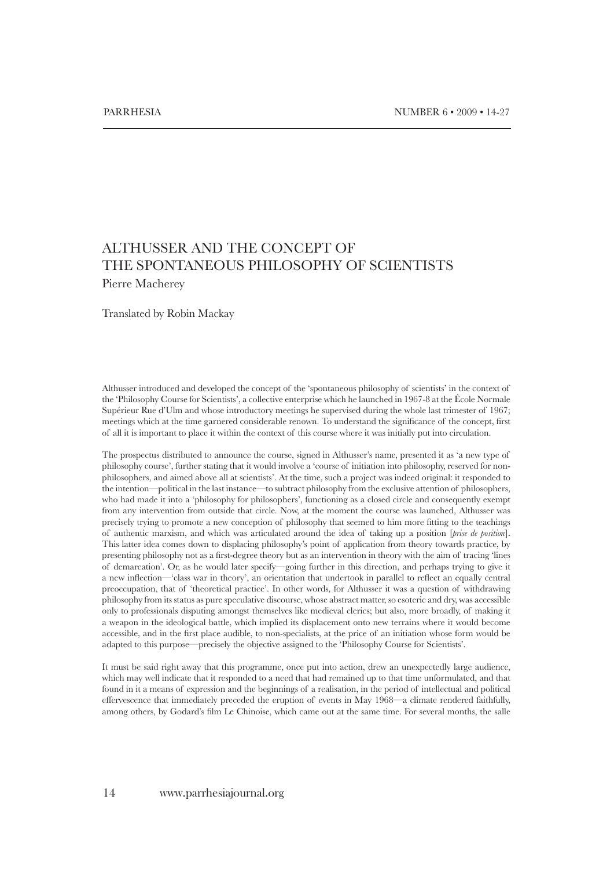## ALTHUSSER AND THE CONCEPT OF THE SPONTANEOUS PHILOSOPHY OF SCIENTISTS Pierre Macherey

Translated by Robin Mackay

Althusser introduced and developed the concept of the 'spontaneous philosophy of scientists' in the context of the 'Philosophy Course for Scientists', a collective enterprise which he launched in 1967-8 at the École Normale Supérieur Rue d'Ulm and whose introductory meetings he supervised during the whole last trimester of 1967; meetings which at the time garnered considerable renown. To understand the significance of the concept, first of all it is important to place it within the context of this course where it was initially put into circulation.

The prospectus distributed to announce the course, signed in Althusser's name, presented it as 'a new type of philosophy course', further stating that it would involve a 'course of initiation into philosophy, reserved for nonphilosophers, and aimed above all at scientists'. At the time, such a project was indeed original: it responded to the intention—political in the last instance—to subtract philosophy from the exclusive attention of philosophers, who had made it into a 'philosophy for philosophers', functioning as a closed circle and consequently exempt from any intervention from outside that circle. Now, at the moment the course was launched, Althusser was precisely trying to promote a new conception of philosophy that seemed to him more fitting to the teachings of authentic marxism, and which was articulated around the idea of taking up a position [*prise de position*]. This latter idea comes down to displacing philosophy's point of application from theory towards practice, by presenting philosophy not as a first-degree theory but as an intervention in theory with the aim of tracing 'lines of demarcation'. Or, as he would later specify—going further in this direction, and perhaps trying to give it a new inflection—'class war in theory', an orientation that undertook in parallel to reflect an equally central preoccupation, that of 'theoretical practice'. In other words, for Althusser it was a question of withdrawing philosophy from its status as pure speculative discourse, whose abstract matter, so esoteric and dry, was accessible only to professionals disputing amongst themselves like medieval clerics; but also, more broadly, of making it a weapon in the ideological battle, which implied its displacement onto new terrains where it would become accessible, and in the first place audible, to non-specialists, at the price of an initiation whose form would be adapted to this purpose—precisely the objective assigned to the 'Philosophy Course for Scientists'.

It must be said right away that this programme, once put into action, drew an unexpectedly large audience, which may well indicate that it responded to a need that had remained up to that time unformulated, and that found in it a means of expression and the beginnings of a realisation, in the period of intellectual and political effervescence that immediately preceded the eruption of events in May 1968—a climate rendered faithfully, among others, by Godard's film Le Chinoise, which came out at the same time. For several months, the salle

## 14 www.parrhesiajournal.org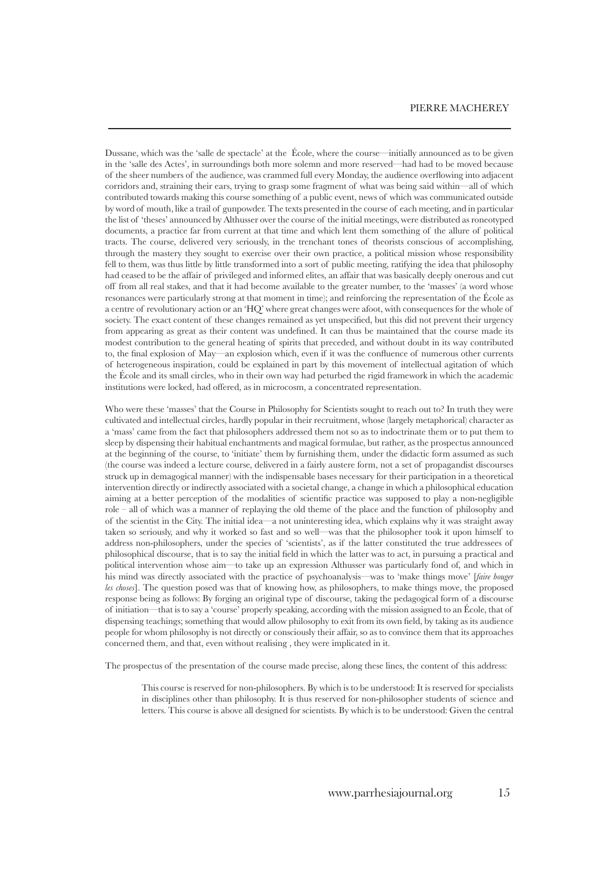Dussane, which was the 'salle de spectacle' at the École, where the course—initially announced as to be given in the 'salle des Actes', in surroundings both more solemn and more reserved—had had to be moved because of the sheer numbers of the audience, was crammed full every Monday, the audience overflowing into adjacent corridors and, straining their ears, trying to grasp some fragment of what was being said within—all of which contributed towards making this course something of a public event, news of which was communicated outside by word of mouth, like a trail of gunpowder. The texts presented in the course of each meeting, and in particular the list of 'theses' announced by Althusser over the course of the initial meetings, were distributed as roneotyped documents, a practice far from current at that time and which lent them something of the allure of political tracts. The course, delivered very seriously, in the trenchant tones of theorists conscious of accomplishing, through the mastery they sought to exercise over their own practice, a political mission whose responsibility fell to them, was thus little by little transformed into a sort of public meeting, ratifying the idea that philosophy had ceased to be the affair of privileged and informed elites, an affair that was basically deeply onerous and cut off from all real stakes, and that it had become available to the greater number, to the 'masses' (a word whose resonances were particularly strong at that moment in time); and reinforcing the representation of the École as a centre of revolutionary action or an 'HQ' where great changes were afoot, with consequences for the whole of society. The exact content of these changes remained as yet unspecified, but this did not prevent their urgency from appearing as great as their content was undefined. It can thus be maintained that the course made its modest contribution to the general heating of spirits that preceded, and without doubt in its way contributed to, the final explosion of May—an explosion which, even if it was the confluence of numerous other currents of heterogeneous inspiration, could be explained in part by this movement of intellectual agitation of which the École and its small circles, who in their own way had peturbed the rigid framework in which the academic institutions were locked, had offered, as in microcosm, a concentrated representation.

Who were these 'masses' that the Course in Philosophy for Scientists sought to reach out to? In truth they were cultivated and intellectual circles, hardly popular in their recruitment, whose (largely metaphorical) character as a 'mass' came from the fact that philosophers addressed them not so as to indoctrinate them or to put them to sleep by dispensing their habitual enchantments and magical formulae, but rather, as the prospectus announced at the beginning of the course, to 'initiate' them by furnishing them, under the didactic form assumed as such (the course was indeed a lecture course, delivered in a fairly austere form, not a set of propagandist discourses struck up in demagogical manner) with the indispensable bases necessary for their participation in a theoretical intervention directly or indirectly associated with a societal change, a change in which a philosophical education aiming at a better perception of the modalities of scientific practice was supposed to play a non-negligible role – all of which was a manner of replaying the old theme of the place and the function of philosophy and of the scientist in the City. The initial idea—a not uninteresting idea, which explains why it was straight away taken so seriously, and why it worked so fast and so well—was that the philosopher took it upon himself to address non-philosophers, under the species of 'scientists', as if the latter constituted the true addressees of philosophical discourse, that is to say the initial field in which the latter was to act, in pursuing a practical and political intervention whose aim—to take up an expression Althusser was particularly fond of, and which in his mind was directly associated with the practice of psychoanalysis—was to 'make things move' *[faire bouger les choses*]. The question posed was that of knowing how, as philosophers, to make things move, the proposed response being as follows: By forging an original type of discourse, taking the pedagogical form of a discourse of initiation—that is to say a 'course' properly speaking, according with the mission assigned to an École, that of dispensing teachings; something that would allow philosophy to exit from its own field, by taking as its audience people for whom philosophy is not directly or consciously their affair, so as to convince them that its approaches concerned them, and that, even without realising , they were implicated in it.

The prospectus of the presentation of the course made precise, along these lines, the content of this address:

This course is reserved for non-philosophers. By which is to be understood: It is reserved for specialists in disciplines other than philosophy. It is thus reserved for non-philosopher students of science and letters. This course is above all designed for scientists. By which is to be understood: Given the central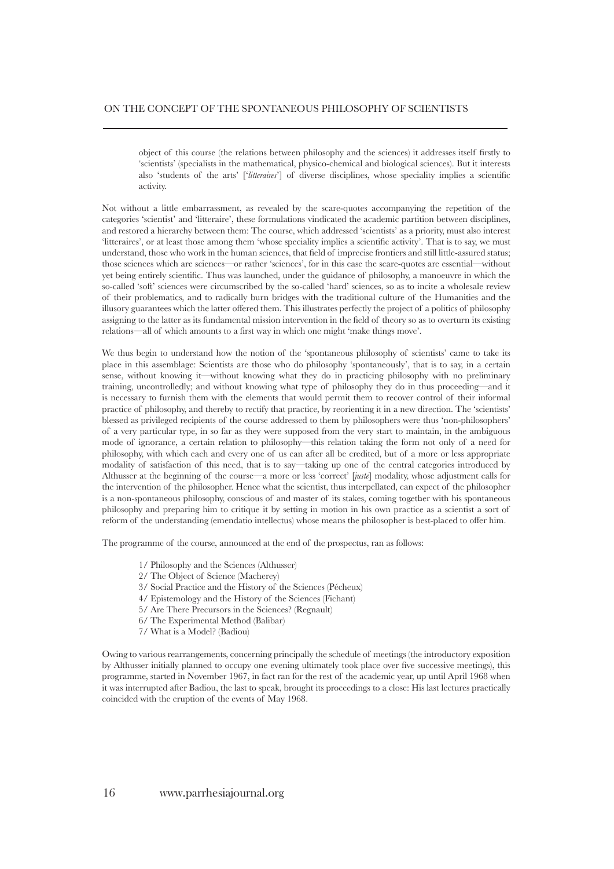object of this course (the relations between philosophy and the sciences) it addresses itself firstly to 'scientists' (specialists in the mathematical, physico-chemical and biological sciences). But it interests also 'students of the arts' ['*litteraires*'] of diverse disciplines, whose speciality implies a scientific activity.

Not without a little embarrassment, as revealed by the scare-quotes accompanying the repetition of the categories 'scientist' and 'litteraire', these formulations vindicated the academic partition between disciplines, and restored a hierarchy between them: The course, which addressed 'scientists' as a priority, must also interest 'litteraires', or at least those among them 'whose speciality implies a scientific activity'. That is to say, we must understand, those who work in the human sciences, that field of imprecise frontiers and still little-assured status; those sciences which are sciences—or rather 'sciences', for in this case the scare-quotes are essential—without yet being entirely scientific. Thus was launched, under the guidance of philosophy, a manoeuvre in which the so-called 'soft' sciences were circumscribed by the so-called 'hard' sciences, so as to incite a wholesale review of their problematics, and to radically burn bridges with the traditional culture of the Humanities and the illusory guarantees which the latter offered them. This illustrates perfectly the project of a politics of philosophy assigning to the latter as its fundamental mission intervention in the field of theory so as to overturn its existing relations—all of which amounts to a first way in which one might 'make things move'.

We thus begin to understand how the notion of the 'spontaneous philosophy of scientists' came to take its place in this assemblage: Scientists are those who do philosophy 'spontaneously', that is to say, in a certain sense, without knowing it—without knowing what they do in practicing philosophy with no preliminary training, uncontrolledly; and without knowing what type of philosophy they do in thus proceeding—and it is necessary to furnish them with the elements that would permit them to recover control of their informal practice of philosophy, and thereby to rectify that practice, by reorienting it in a new direction. The 'scientists' blessed as privileged recipients of the course addressed to them by philosophers were thus 'non-philosophers' of a very particular type, in so far as they were supposed from the very start to maintain, in the ambiguous mode of ignorance, a certain relation to philosophy—this relation taking the form not only of a need for philosophy, with which each and every one of us can after all be credited, but of a more or less appropriate modality of satisfaction of this need, that is to say—taking up one of the central categories introduced by Althusser at the beginning of the course—a more or less 'correct' [*juste*] modality, whose adjustment calls for the intervention of the philosopher. Hence what the scientist, thus interpellated, can expect of the philosopher is a non-spontaneous philosophy, conscious of and master of its stakes, coming together with his spontaneous philosophy and preparing him to critique it by setting in motion in his own practice as a scientist a sort of reform of the understanding (emendatio intellectus) whose means the philosopher is best-placed to offer him.

The programme of the course, announced at the end of the prospectus, ran as follows:

- 1/ Philosophy and the Sciences (Althusser)
- 2/ The Object of Science (Macherey)
- 3/ Social Practice and the History of the Sciences (Pécheux)
- 4/ Epistemology and the History of the Sciences (Fichant)
- 5/ Are There Precursors in the Sciences? (Regnault)
- 6/ The Experimental Method (Balibar)
- 7/ What is a Model? (Badiou)

Owing to various rearrangements, concerning principally the schedule of meetings (the introductory exposition by Althusser initially planned to occupy one evening ultimately took place over five successive meetings), this programme, started in November 1967, in fact ran for the rest of the academic year, up until April 1968 when it was interrupted after Badiou, the last to speak, brought its proceedings to a close: His last lectures practically coincided with the eruption of the events of May 1968.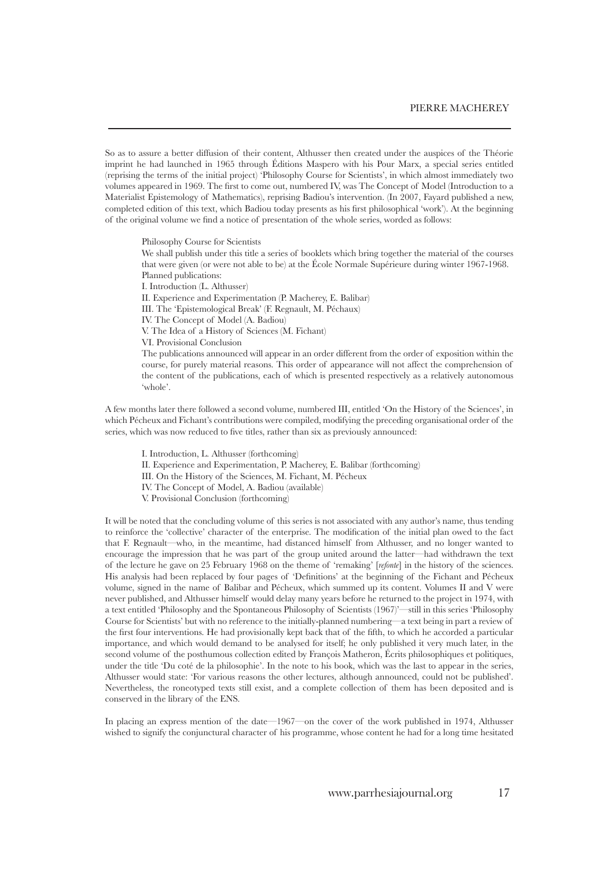So as to assure a better diffusion of their content, Althusser then created under the auspices of the Théorie imprint he had launched in 1965 through Éditions Maspero with his Pour Marx, a special series entitled (reprising the terms of the initial project) 'Philosophy Course for Scientists', in which almost immediately two volumes appeared in 1969. The first to come out, numbered IV, was The Concept of Model (Introduction to a Materialist Epistemology of Mathematics), reprising Badiou's intervention. (In 2007, Fayard published a new, completed edition of this text, which Badiou today presents as his first philosophical 'work'). At the beginning of the original volume we find a notice of presentation of the whole series, worded as follows:

Philosophy Course for Scientists We shall publish under this title a series of booklets which bring together the material of the courses that were given (or were not able to be) at the École Normale Supérieure during winter 1967-1968. Planned publications: I. Introduction (L. Althusser) II. Experience and Experimentation (P. Macherey, E. Balibar) III. The 'Epistemological Break' (F. Regnault, M. Péchaux) IV. The Concept of Model (A. Badiou) V. The Idea of a History of Sciences (M. Fichant) VI. Provisional Conclusion The publications announced will appear in an order different from the order of exposition within the course, for purely material reasons. This order of appearance will not affect the comprehension of the content of the publications, each of which is presented respectively as a relatively autonomous 'whole'.

A few months later there followed a second volume, numbered III, entitled 'On the History of the Sciences', in which Pécheux and Fichant's contributions were compiled, modifying the preceding organisational order of the series, which was now reduced to five titles, rather than six as previously announced:

I. Introduction, L. Althusser (forthcoming)

II. Experience and Experimentation, P. Macherey, E. Balibar (forthcoming)

III. On the History of the Sciences, M. Fichant, M. Pécheux

IV. The Concept of Model, A. Badiou (available)

V. Provisional Conclusion (forthcoming)

It will be noted that the concluding volume of this series is not associated with any author's name, thus tending to reinforce the 'collective' character of the enterprise. The modification of the initial plan owed to the fact that F. Regnault—who, in the meantime, had distanced himself from Althusser, and no longer wanted to encourage the impression that he was part of the group united around the latter—had withdrawn the text of the lecture he gave on 25 February 1968 on the theme of 'remaking' [*refonte*] in the history of the sciences. His analysis had been replaced by four pages of 'Definitions' at the beginning of the Fichant and Pécheux volume, signed in the name of Balibar and Pécheux, which summed up its content. Volumes II and V were never published, and Althusser himself would delay many years before he returned to the project in 1974, with a text entitled 'Philosophy and the Spontaneous Philosophy of Scientists (1967)'—still in this series 'Philosophy Course for Scientists' but with no reference to the initially-planned numbering—a text being in part a review of the first four interventions. He had provisionally kept back that of the fifth, to which he accorded a particular importance, and which would demand to be analysed for itself; he only published it very much later, in the second volume of the posthumous collection edited by François Matheron, Écrits philosophiques et politiques, under the title 'Du coté de la philosophie'. In the note to his book, which was the last to appear in the series, Althusser would state: 'For various reasons the other lectures, although announced, could not be published'. Nevertheless, the roneotyped texts still exist, and a complete collection of them has been deposited and is conserved in the library of the ENS.

In placing an express mention of the date—1967—on the cover of the work published in 1974, Althusser wished to signify the conjunctural character of his programme, whose content he had for a long time hesitated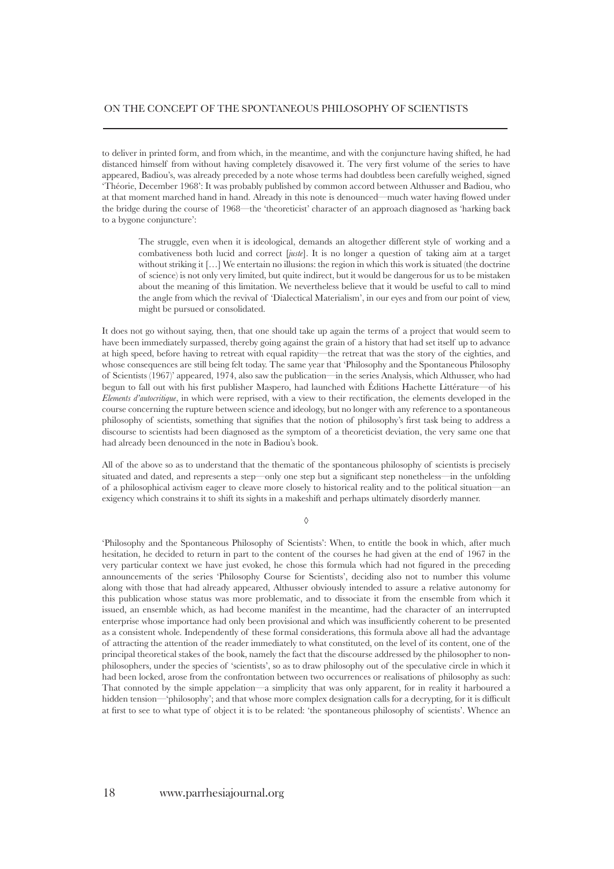to deliver in printed form, and from which, in the meantime, and with the conjuncture having shifted, he had distanced himself from without having completely disavowed it. The very first volume of the series to have appeared, Badiou's, was already preceded by a note whose terms had doubtless been carefully weighed, signed 'Théorie, December 1968': It was probably published by common accord between Althusser and Badiou, who at that moment marched hand in hand. Already in this note is denounced—much water having flowed under the bridge during the course of 1968—the 'theoreticist' character of an approach diagnosed as 'harking back to a bygone conjuncture':

The struggle, even when it is ideological, demands an altogether different style of working and a combativeness both lucid and correct [*juste*]. It is no longer a question of taking aim at a target without striking it [...] We entertain no illusions: the region in which this work is situated (the doctrine of science) is not only very limited, but quite indirect, but it would be dangerous for us to be mistaken about the meaning of this limitation. We nevertheless believe that it would be useful to call to mind the angle from which the revival of 'Dialectical Materialism', in our eyes and from our point of view, might be pursued or consolidated.

It does not go without saying, then, that one should take up again the terms of a project that would seem to have been immediately surpassed, thereby going against the grain of a history that had set itself up to advance at high speed, before having to retreat with equal rapidity—the retreat that was the story of the eighties, and whose consequences are still being felt today. The same year that 'Philosophy and the Spontaneous Philosophy of Scientists (1967)' appeared, 1974, also saw the publication—in the series Analysis, which Althusser, who had begun to fall out with his first publisher Maspero, had launched with Éditions Hachette Littérature—of his *Elements d'autocritique*, in which were reprised, with a view to their rectification, the elements developed in the course concerning the rupture between science and ideology, but no longer with any reference to a spontaneous philosophy of scientists, something that signifies that the notion of philosophy's first task being to address a discourse to scientists had been diagnosed as the symptom of a theoreticist deviation, the very same one that had already been denounced in the note in Badiou's book.

All of the above so as to understand that the thematic of the spontaneous philosophy of scientists is precisely situated and dated, and represents a step—only one step but a significant step nonetheless—in the unfolding of a philosophical activism eager to cleave more closely to historical reality and to the political situation—an exigency which constrains it to shift its sights in a makeshift and perhaps ultimately disorderly manner.

◊

'Philosophy and the Spontaneous Philosophy of Scientists': When, to entitle the book in which, after much hesitation, he decided to return in part to the content of the courses he had given at the end of 1967 in the very particular context we have just evoked, he chose this formula which had not figured in the preceding announcements of the series 'Philosophy Course for Scientists', deciding also not to number this volume along with those that had already appeared, Althusser obviously intended to assure a relative autonomy for this publication whose status was more problematic, and to dissociate it from the ensemble from which it issued, an ensemble which, as had become manifest in the meantime, had the character of an interrupted enterprise whose importance had only been provisional and which was insufficiently coherent to be presented as a consistent whole. Independently of these formal considerations, this formula above all had the advantage of attracting the attention of the reader immediately to what constituted, on the level of its content, one of the principal theoretical stakes of the book, namely the fact that the discourse addressed by the philosopher to nonphilosophers, under the species of 'scientists', so as to draw philosophy out of the speculative circle in which it had been locked, arose from the confrontation between two occurrences or realisations of philosophy as such: That connoted by the simple appelation—a simplicity that was only apparent, for in reality it harboured a hidden tension—'philosophy'; and that whose more complex designation calls for a decrypting, for it is difficult at first to see to what type of object it is to be related: 'the spontaneous philosophy of scientists'. Whence an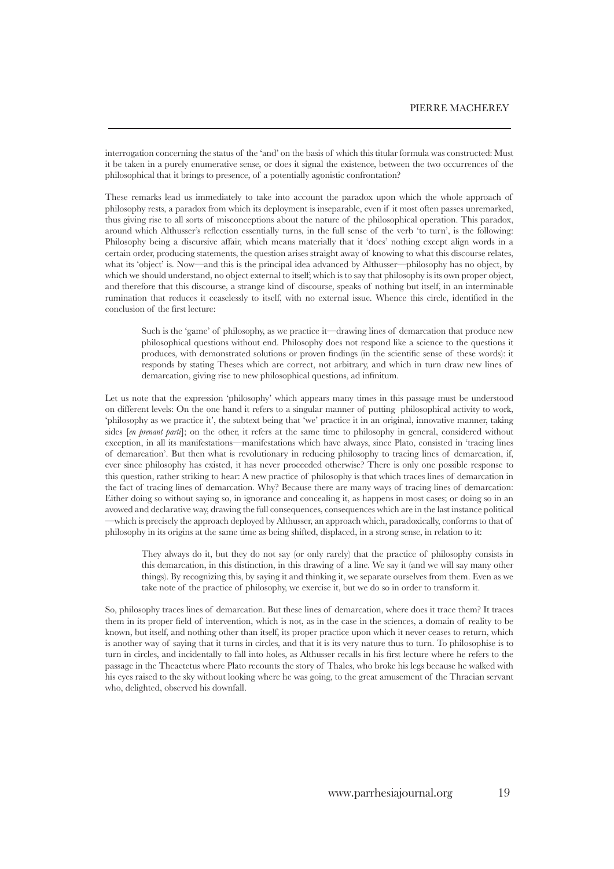interrogation concerning the status of the 'and' on the basis of which this titular formula was constructed: Must it be taken in a purely enumerative sense, or does it signal the existence, between the two occurrences of the philosophical that it brings to presence, of a potentially agonistic confrontation?

These remarks lead us immediately to take into account the paradox upon which the whole approach of philosophy rests, a paradox from which its deployment is inseparable, even if it most often passes unremarked, thus giving rise to all sorts of misconceptions about the nature of the philosophical operation. This paradox, around which Althusser's reflection essentially turns, in the full sense of the verb 'to turn', is the following: Philosophy being a discursive affair, which means materially that it 'does' nothing except align words in a certain order, producing statements, the question arises straight away of knowing to what this discourse relates, what its 'object' is. Now—and this is the principal idea advanced by Althusser—philosophy has no object, by which we should understand, no object external to itself; which is to say that philosophy is its own proper object, and therefore that this discourse, a strange kind of discourse, speaks of nothing but itself, in an interminable rumination that reduces it ceaselessly to itself, with no external issue. Whence this circle, identified in the conclusion of the first lecture:

Such is the 'game' of philosophy, as we practice it—drawing lines of demarcation that produce new philosophical questions without end. Philosophy does not respond like a science to the questions it produces, with demonstrated solutions or proven findings (in the scientific sense of these words): it responds by stating Theses which are correct, not arbitrary, and which in turn draw new lines of demarcation, giving rise to new philosophical questions, ad infinitum.

Let us note that the expression 'philosophy' which appears many times in this passage must be understood on different levels: On the one hand it refers to a singular manner of putting philosophical activity to work, 'philosophy as we practice it', the subtext being that 'we' practice it in an original, innovative manner, taking sides [*en prenant parti*]; on the other, it refers at the same time to philosophy in general, considered without exception, in all its manifestations—manifestations which have always, since Plato, consisted in 'tracing lines of demarcation'. But then what is revolutionary in reducing philosophy to tracing lines of demarcation, if, ever since philosophy has existed, it has never proceeded otherwise? There is only one possible response to this question, rather striking to hear: A new practice of philosophy is that which traces lines of demarcation in the fact of tracing lines of demarcation. Why? Because there are many ways of tracing lines of demarcation: Either doing so without saying so, in ignorance and concealing it, as happens in most cases; or doing so in an avowed and declarative way, drawing the full consequences, consequences which are in the last instance political —which is precisely the approach deployed by Althusser, an approach which, paradoxically, conforms to that of philosophy in its origins at the same time as being shifted, displaced, in a strong sense, in relation to it:

They always do it, but they do not say (or only rarely) that the practice of philosophy consists in this demarcation, in this distinction, in this drawing of a line. We say it (and we will say many other things). By recognizing this, by saying it and thinking it, we separate ourselves from them. Even as we take note of the practice of philosophy, we exercise it, but we do so in order to transform it.

So, philosophy traces lines of demarcation. But these lines of demarcation, where does it trace them? It traces them in its proper field of intervention, which is not, as in the case in the sciences, a domain of reality to be known, but itself, and nothing other than itself, its proper practice upon which it never ceases to return, which is another way of saying that it turns in circles, and that it is its very nature thus to turn. To philosophise is to turn in circles, and incidentally to fall into holes, as Althusser recalls in his first lecture where he refers to the passage in the Theaetetus where Plato recounts the story of Thales, who broke his legs because he walked with his eyes raised to the sky without looking where he was going, to the great amusement of the Thracian servant who, delighted, observed his downfall.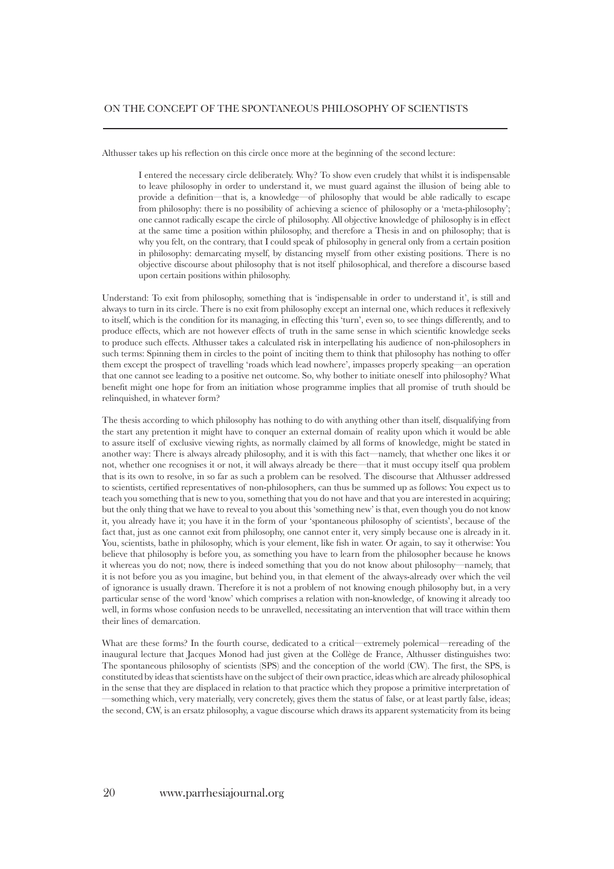Althusser takes up his reflection on this circle once more at the beginning of the second lecture:

I entered the necessary circle deliberately. Why? To show even crudely that whilst it is indispensable to leave philosophy in order to understand it, we must guard against the illusion of being able to provide a definition—that is, a knowledge—of philosophy that would be able radically to escape from philosophy: there is no possibility of achieving a science of philosophy or a 'meta-philosophy'; one cannot radically escape the circle of philosophy. All objective knowledge of philosophy is in effect at the same time a position within philosophy, and therefore a Thesis in and on philosophy; that is why you felt, on the contrary, that I could speak of philosophy in general only from a certain position in philosophy: demarcating myself, by distancing myself from other existing positions. There is no objective discourse about philosophy that is not itself philosophical, and therefore a discourse based upon certain positions within philosophy.

Understand: To exit from philosophy, something that is 'indispensable in order to understand it', is still and always to turn in its circle. There is no exit from philosophy except an internal one, which reduces it reflexively to itself, which is the condition for its managing, in effecting this 'turn', even so, to see things differently, and to produce effects, which are not however effects of truth in the same sense in which scientific knowledge seeks to produce such effects. Althusser takes a calculated risk in interpellating his audience of non-philosophers in such terms: Spinning them in circles to the point of inciting them to think that philosophy has nothing to offer them except the prospect of travelling 'roads which lead nowhere', impasses properly speaking—an operation that one cannot see leading to a positive net outcome. So, why bother to initiate oneself into philosophy? What benefit might one hope for from an initiation whose programme implies that all promise of truth should be relinquished, in whatever form?

The thesis according to which philosophy has nothing to do with anything other than itself, disqualifying from the start any pretention it might have to conquer an external domain of reality upon which it would be able to assure itself of exclusive viewing rights, as normally claimed by all forms of knowledge, might be stated in another way: There is always already philosophy, and it is with this fact—namely, that whether one likes it or not, whether one recognises it or not, it will always already be there—that it must occupy itself qua problem that is its own to resolve, in so far as such a problem can be resolved. The discourse that Althusser addressed to scientists, certified representatives of non-philosophers, can thus be summed up as follows: You expect us to teach you something that is new to you, something that you do not have and that you are interested in acquiring; but the only thing that we have to reveal to you about this 'something new' is that, even though you do not know it, you already have it; you have it in the form of your 'spontaneous philosophy of scientists', because of the fact that, just as one cannot exit from philosophy, one cannot enter it, very simply because one is already in it. You, scientists, bathe in philosophy, which is your element, like fish in water. Or again, to say it otherwise: You believe that philosophy is before you, as something you have to learn from the philosopher because he knows it whereas you do not; now, there is indeed something that you do not know about philosophy—namely, that it is not before you as you imagine, but behind you, in that element of the always-already over which the veil of ignorance is usually drawn. Therefore it is not a problem of not knowing enough philosophy but, in a very particular sense of the word 'know' which comprises a relation with non-knowledge, of knowing it already too well, in forms whose confusion needs to be unravelled, necessitating an intervention that will trace within them their lines of demarcation.

What are these forms? In the fourth course, dedicated to a critical—extremely polemical—rereading of the inaugural lecture that Jacques Monod had just given at the Collège de France, Althusser distinguishes two: The spontaneous philosophy of scientists (SPS) and the conception of the world (CW). The first, the SPS, is constituted by ideas that scientists have on the subject of their own practice, ideas which are already philosophical in the sense that they are displaced in relation to that practice which they propose a primitive interpretation of —something which, very materially, very concretely, gives them the status of false, or at least partly false, ideas; the second, CW, is an ersatz philosophy, a vague discourse which draws its apparent systematicity from its being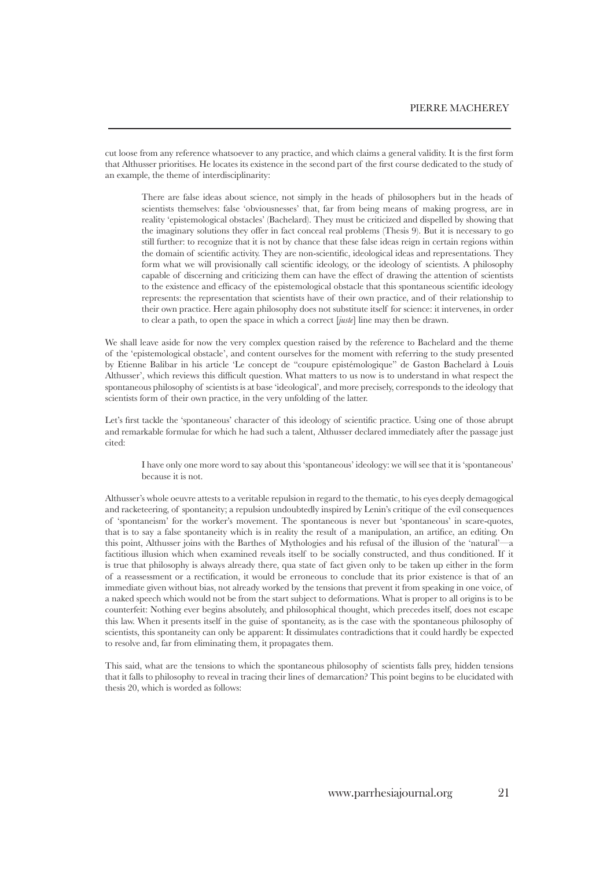cut loose from any reference whatsoever to any practice, and which claims a general validity. It is the first form that Althusser prioritises. He locates its existence in the second part of the first course dedicated to the study of an example, the theme of interdisciplinarity:

There are false ideas about science, not simply in the heads of philosophers but in the heads of scientists themselves: false 'obviousnesses' that, far from being means of making progress, are in reality 'epistemological obstacles' (Bachelard). They must be criticized and dispelled by showing that the imaginary solutions they offer in fact conceal real problems (Thesis 9). But it is necessary to go still further: to recognize that it is not by chance that these false ideas reign in certain regions within the domain of scientific activity. They are non-scientific, ideological ideas and representations. They form what we will provisionally call scientific ideology, or the ideology of scientists. A philosophy capable of discerning and criticizing them can have the effect of drawing the attention of scientists to the existence and efficacy of the epistemological obstacle that this spontaneous scientific ideology represents: the representation that scientists have of their own practice, and of their relationship to their own practice. Here again philosophy does not substitute itself for science: it intervenes, in order to clear a path, to open the space in which a correct [*juste*] line may then be drawn.

We shall leave aside for now the very complex question raised by the reference to Bachelard and the theme of the 'epistemological obstacle', and content ourselves for the moment with referring to the study presented by Etienne Balibar in his article 'Le concept de "coupure epistémologique" de Gaston Bachelard à Louis Althusser', which reviews this difficult question. What matters to us now is to understand in what respect the spontaneous philosophy of scientists is at base 'ideological', and more precisely, corresponds to the ideology that scientists form of their own practice, in the very unfolding of the latter.

Let's first tackle the 'spontaneous' character of this ideology of scientific practice. Using one of those abrupt and remarkable formulae for which he had such a talent, Althusser declared immediately after the passage just cited:

I have only one more word to say about this 'spontaneous' ideology: we will see that it is 'spontaneous' because it is not.

Althusser's whole oeuvre attests to a veritable repulsion in regard to the thematic, to his eyes deeply demagogical and racketeering, of spontaneity; a repulsion undoubtedly inspired by Lenin's critique of the evil consequences of 'spontaneism' for the worker's movement. The spontaneous is never but 'spontaneous' in scare-quotes, that is to say a false spontaneity which is in reality the result of a manipulation, an artifice, an editing. On this point, Althusser joins with the Barthes of Mythologies and his refusal of the illusion of the 'natural'—a factitious illusion which when examined reveals itself to be socially constructed, and thus conditioned. If it is true that philosophy is always already there, qua state of fact given only to be taken up either in the form of a reassessment or a rectification, it would be erroneous to conclude that its prior existence is that of an immediate given without bias, not already worked by the tensions that prevent it from speaking in one voice, of a naked speech which would not be from the start subject to deformations. What is proper to all origins is to be counterfeit: Nothing ever begins absolutely, and philosophical thought, which precedes itself, does not escape this law. When it presents itself in the guise of spontaneity, as is the case with the spontaneous philosophy of scientists, this spontaneity can only be apparent: It dissimulates contradictions that it could hardly be expected to resolve and, far from eliminating them, it propagates them.

This said, what are the tensions to which the spontaneous philosophy of scientists falls prey, hidden tensions that it falls to philosophy to reveal in tracing their lines of demarcation? This point begins to be elucidated with thesis 20, which is worded as follows: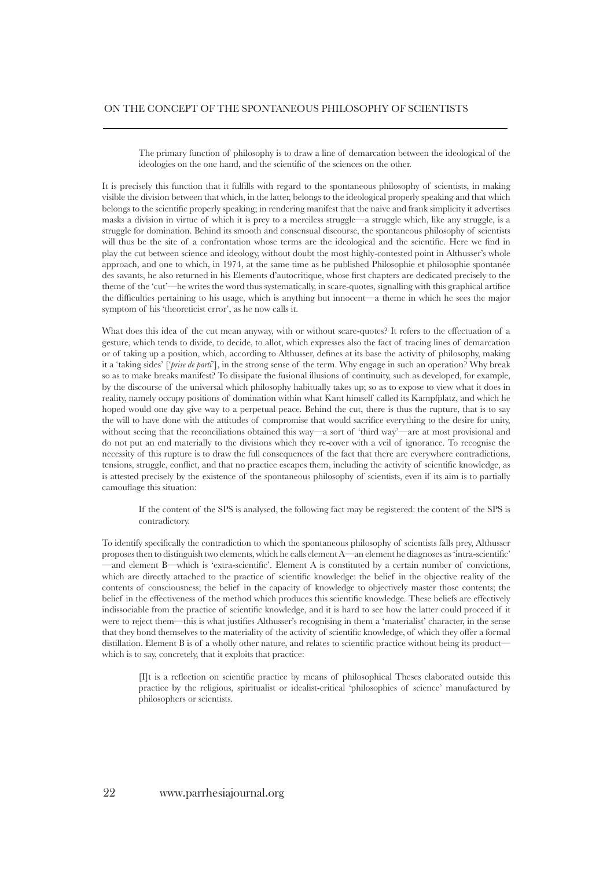The primary function of philosophy is to draw a line of demarcation between the ideological of the ideologies on the one hand, and the scientific of the sciences on the other.

It is precisely this function that it fulfills with regard to the spontaneous philosophy of scientists, in making visible the division between that which, in the latter, belongs to the ideological properly speaking and that which belongs to the scientific properly speaking; in rendering manifest that the naive and frank simplicity it advertises masks a division in virtue of which it is prey to a merciless struggle—a struggle which, like any struggle, is a struggle for domination. Behind its smooth and consensual discourse, the spontaneous philosophy of scientists will thus be the site of a confrontation whose terms are the ideological and the scientific. Here we find in play the cut between science and ideology, without doubt the most highly-contested point in Althusser's whole approach, and one to which, in 1974, at the same time as he published Philosophie et philosophie spontanée des savants, he also returned in his Elements d'autocritique, whose first chapters are dedicated precisely to the theme of the 'cut'—he writes the word thus systematically, in scare-quotes, signalling with this graphical artifice the difficulties pertaining to his usage, which is anything but innocent—a theme in which he sees the major symptom of his 'theoreticist error', as he now calls it.

What does this idea of the cut mean anyway, with or without scare-quotes? It refers to the effectuation of a gesture, which tends to divide, to decide, to allot, which expresses also the fact of tracing lines of demarcation or of taking up a position, which, according to Althusser, defines at its base the activity of philosophy, making it a 'taking sides' ['*prise de parti*'], in the strong sense of the term. Why engage in such an operation? Why break so as to make breaks manifest? To dissipate the fusional illusions of continuity, such as developed, for example, by the discourse of the universal which philosophy habitually takes up; so as to expose to view what it does in reality, namely occupy positions of domination within what Kant himself called its Kampfplatz, and which he hoped would one day give way to a perpetual peace. Behind the cut, there is thus the rupture, that is to say the will to have done with the attitudes of compromise that would sacrifice everything to the desire for unity, without seeing that the reconciliations obtained this way—a sort of 'third way'—are at most provisional and do not put an end materially to the divisions which they re-cover with a veil of ignorance. To recognise the necessity of this rupture is to draw the full consequences of the fact that there are everywhere contradictions, tensions, struggle, conflict, and that no practice escapes them, including the activity of scientific knowledge, as is attested precisely by the existence of the spontaneous philosophy of scientists, even if its aim is to partially camouflage this situation:

If the content of the SPS is analysed, the following fact may be registered: the content of the SPS is contradictory.

To identify specifically the contradiction to which the spontaneous philosophy of scientists falls prey, Althusser proposes then to distinguish two elements, which he calls element A—an element he diagnoses as 'intra-scientific' —and element B—which is 'extra-scientific'. Element A is constituted by a certain number of convictions, which are directly attached to the practice of scientific knowledge: the belief in the objective reality of the contents of consciousness; the belief in the capacity of knowledge to objectively master those contents; the belief in the effectiveness of the method which produces this scientific knowledge. These beliefs are effectively indissociable from the practice of scientific knowledge, and it is hard to see how the latter could proceed if it were to reject them—this is what justifies Althusser's recognising in them a 'materialist' character, in the sense that they bond themselves to the materiality of the activity of scientific knowledge, of which they offer a formal distillation. Element B is of a wholly other nature, and relates to scientific practice without being its product which is to say, concretely, that it exploits that practice:

[I]t is a reflection on scientific practice by means of philosophical Theses elaborated outside this practice by the religious, spiritualist or idealist-critical 'philosophies of science' manufactured by philosophers or scientists.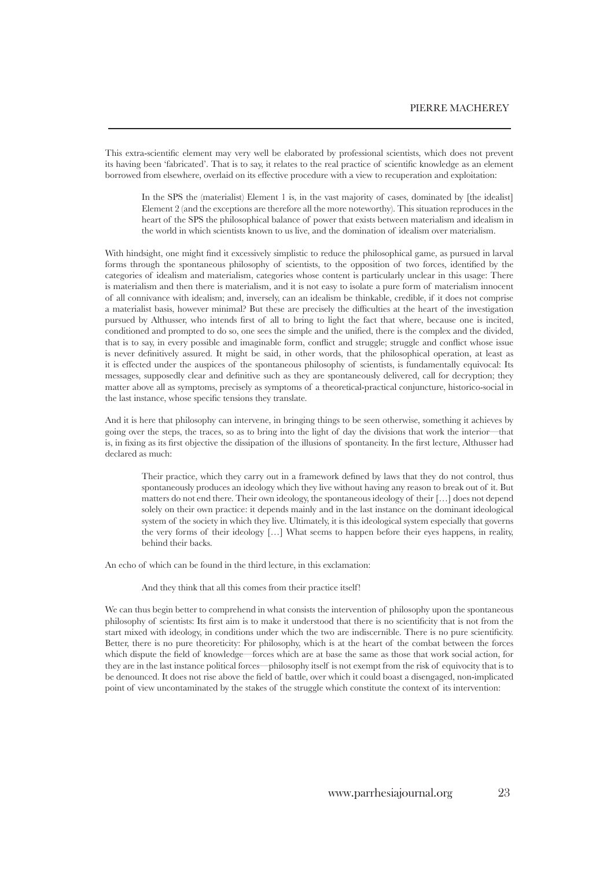This extra-scientific element may very well be elaborated by professional scientists, which does not prevent its having been 'fabricated'. That is to say, it relates to the real practice of scientific knowledge as an element borrowed from elsewhere, overlaid on its effective procedure with a view to recuperation and exploitation:

In the SPS the (materialist) Element 1 is, in the vast majority of cases, dominated by [the idealist] Element 2 (and the exceptions are therefore all the more noteworthy). This situation reproduces in the heart of the SPS the philosophical balance of power that exists between materialism and idealism in the world in which scientists known to us live, and the domination of idealism over materialism.

With hindsight, one might find it excessively simplistic to reduce the philosophical game, as pursued in larval forms through the spontaneous philosophy of scientists, to the opposition of two forces, identified by the categories of idealism and materialism, categories whose content is particularly unclear in this usage: There is materialism and then there is materialism, and it is not easy to isolate a pure form of materialism innocent of all connivance with idealism; and, inversely, can an idealism be thinkable, credible, if it does not comprise a materialist basis, however minimal? But these are precisely the difficulties at the heart of the investigation pursued by Althusser, who intends first of all to bring to light the fact that where, because one is incited, conditioned and prompted to do so, one sees the simple and the unified, there is the complex and the divided, that is to say, in every possible and imaginable form, conflict and struggle; struggle and conflict whose issue is never definitively assured. It might be said, in other words, that the philosophical operation, at least as it is effected under the auspices of the spontaneous philosophy of scientists, is fundamentally equivocal: Its messages, supposedly clear and definitive such as they are spontaneously delivered, call for decryption; they matter above all as symptoms, precisely as symptoms of a theoretical-practical conjuncture, historico-social in the last instance, whose specific tensions they translate.

And it is here that philosophy can intervene, in bringing things to be seen otherwise, something it achieves by going over the steps, the traces, so as to bring into the light of day the divisions that work the interior—that is, in fixing as its first objective the dissipation of the illusions of spontaneity. In the first lecture, Althusser had declared as much:

Their practice, which they carry out in a framework defined by laws that they do not control, thus spontaneously produces an ideology which they live without having any reason to break out of it. But matters do not end there. Their own ideology, the spontaneous ideology of their […] does not depend solely on their own practice: it depends mainly and in the last instance on the dominant ideological system of the society in which they live. Ultimately, it is this ideological system especially that governs the very forms of their ideology […] What seems to happen before their eyes happens, in reality, behind their backs.

An echo of which can be found in the third lecture, in this exclamation:

And they think that all this comes from their practice itself!

We can thus begin better to comprehend in what consists the intervention of philosophy upon the spontaneous philosophy of scientists: Its first aim is to make it understood that there is no scientificity that is not from the start mixed with ideology, in conditions under which the two are indiscernible. There is no pure scientificity. Better, there is no pure theoreticity: For philosophy, which is at the heart of the combat between the forces which dispute the field of knowledge—forces which are at base the same as those that work social action, for they are in the last instance political forces—philosophy itself is not exempt from the risk of equivocity that is to be denounced. It does not rise above the field of battle, over which it could boast a disengaged, non-implicated point of view uncontaminated by the stakes of the struggle which constitute the context of its intervention: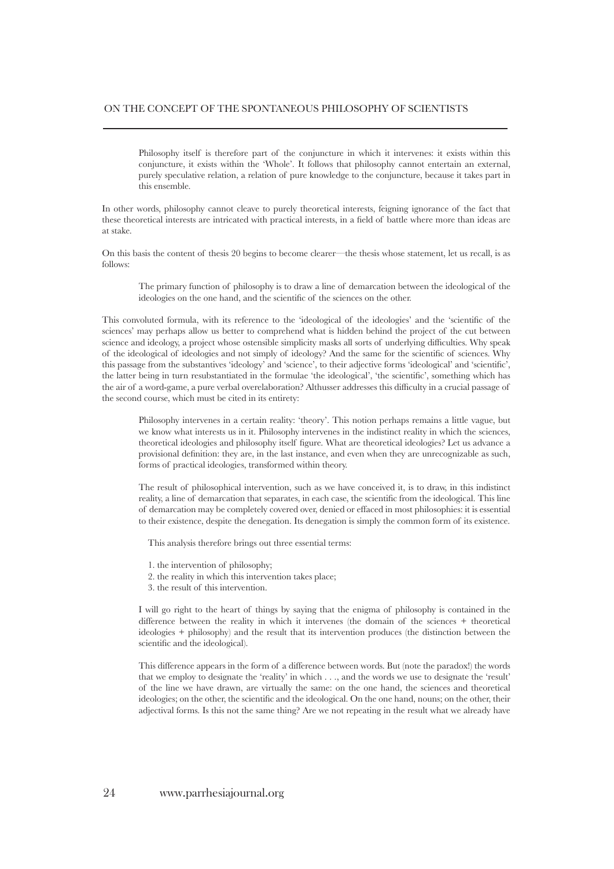Philosophy itself is therefore part of the conjuncture in which it intervenes: it exists within this conjuncture, it exists within the 'Whole'. It follows that philosophy cannot entertain an external, purely speculative relation, a relation of pure knowledge to the conjuncture, because it takes part in this ensemble.

In other words, philosophy cannot cleave to purely theoretical interests, feigning ignorance of the fact that these theoretical interests are intricated with practical interests, in a field of battle where more than ideas are at stake.

On this basis the content of thesis 20 begins to become clearer—the thesis whose statement, let us recall, is as follows:

The primary function of philosophy is to draw a line of demarcation between the ideological of the ideologies on the one hand, and the scientific of the sciences on the other.

This convoluted formula, with its reference to the 'ideological of the ideologies' and the 'scientific of the sciences' may perhaps allow us better to comprehend what is hidden behind the project of the cut between science and ideology, a project whose ostensible simplicity masks all sorts of underlying difficulties. Why speak of the ideological of ideologies and not simply of ideology? And the same for the scientific of sciences. Why this passage from the substantives 'ideology' and 'science', to their adjective forms 'ideological' and 'scientific', the latter being in turn resubstantiated in the formulae 'the ideological', 'the scientific', something which has the air of a word-game, a pure verbal overelaboration? Althusser addresses this difficulty in a crucial passage of the second course, which must be cited in its entirety:

Philosophy intervenes in a certain reality: 'theory'. This notion perhaps remains a little vague, but we know what interests us in it. Philosophy intervenes in the indistinct reality in which the sciences, theoretical ideologies and philosophy itself figure. What are theoretical ideologies? Let us advance a provisional definition: they are, in the last instance, and even when they are unrecognizable as such, forms of practical ideologies, transformed within theory.

The result of philosophical intervention, such as we have conceived it, is to draw, in this indistinct reality, a line of demarcation that separates, in each case, the scientific from the ideological. This line of demarcation may be completely covered over, denied or effaced in most philosophies: it is essential to their existence, despite the denegation. Its denegation is simply the common form of its existence.

This analysis therefore brings out three essential terms:

- 1. the intervention of philosophy;
- 2. the reality in which this intervention takes place;
- 3. the result of this intervention.

I will go right to the heart of things by saying that the enigma of philosophy is contained in the difference between the reality in which it intervenes (the domain of the sciences + theoretical ideologies + philosophy) and the result that its intervention produces (the distinction between the scientific and the ideological).

This difference appears in the form of a difference between words. But (note the paradox!) the words that we employ to designate the 'reality' in which . . ., and the words we use to designate the 'result' of the line we have drawn, are virtually the same: on the one hand, the sciences and theoretical ideologies; on the other, the scientific and the ideological. On the one hand, nouns; on the other, their adjectival forms. Is this not the same thing? Are we not repeating in the result what we already have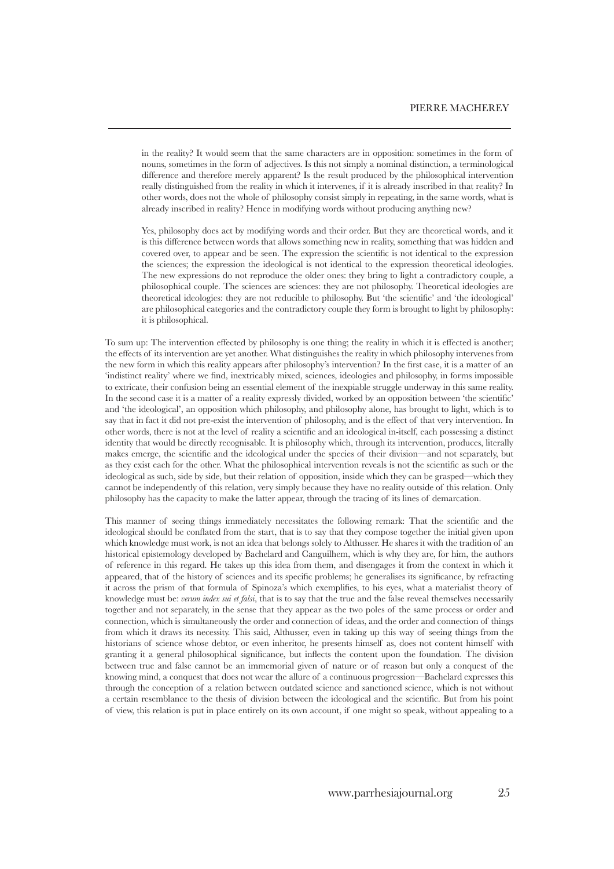in the reality? It would seem that the same characters are in opposition: sometimes in the form of nouns, sometimes in the form of adjectives. Is this not simply a nominal distinction, a terminological difference and therefore merely apparent? Is the result produced by the philosophical intervention really distinguished from the reality in which it intervenes, if it is already inscribed in that reality? In other words, does not the whole of philosophy consist simply in repeating, in the same words, what is already inscribed in reality? Hence in modifying words without producing anything new?

Yes, philosophy does act by modifying words and their order. But they are theoretical words, and it is this difference between words that allows something new in reality, something that was hidden and covered over, to appear and be seen. The expression the scientific is not identical to the expression the sciences; the expression the ideological is not identical to the expression theoretical ideologies. The new expressions do not reproduce the older ones: they bring to light a contradictory couple, a philosophical couple. The sciences are sciences: they are not philosophy. Theoretical ideologies are theoretical ideologies: they are not reducible to philosophy. But 'the scientific' and 'the ideological' are philosophical categories and the contradictory couple they form is brought to light by philosophy: it is philosophical.

To sum up: The intervention effected by philosophy is one thing; the reality in which it is effected is another; the effects of its intervention are yet another. What distinguishes the reality in which philosophy intervenes from the new form in which this reality appears after philosophy's intervention? In the first case, it is a matter of an 'indistinct reality' where we find, inextricably mixed, sciences, ideologies and philosophy, in forms impossible to extricate, their confusion being an essential element of the inexpiable struggle underway in this same reality. In the second case it is a matter of a reality expressly divided, worked by an opposition between 'the scientific' and 'the ideological', an opposition which philosophy, and philosophy alone, has brought to light, which is to say that in fact it did not pre-exist the intervention of philosophy, and is the effect of that very intervention. In other words, there is not at the level of reality a scientific and an ideological in-itself, each possessing a distinct identity that would be directly recognisable. It is philosophy which, through its intervention, produces, literally makes emerge, the scientific and the ideological under the species of their division—and not separately, but as they exist each for the other. What the philosophical intervention reveals is not the scientific as such or the ideological as such, side by side, but their relation of opposition, inside which they can be grasped—which they cannot be independently of this relation, very simply because they have no reality outside of this relation. Only philosophy has the capacity to make the latter appear, through the tracing of its lines of demarcation.

This manner of seeing things immediately necessitates the following remark: That the scientific and the ideological should be conflated from the start, that is to say that they compose together the initial given upon which knowledge must work, is not an idea that belongs solely to Althusser. He shares it with the tradition of an historical epistemology developed by Bachelard and Canguilhem, which is why they are, for him, the authors of reference in this regard. He takes up this idea from them, and disengages it from the context in which it appeared, that of the history of sciences and its specific problems; he generalises its significance, by refracting it across the prism of that formula of Spinoza's which exemplifies, to his eyes, what a materialist theory of knowledge must be: *verum index sui et falsi*, that is to say that the true and the false reveal themselves necessarily together and not separately, in the sense that they appear as the two poles of the same process or order and connection, which is simultaneously the order and connection of ideas, and the order and connection of things from which it draws its necessity. This said, Althusser, even in taking up this way of seeing things from the historians of science whose debtor, or even inheritor, he presents himself as, does not content himself with granting it a general philosophical significance, but inflects the content upon the foundation. The division between true and false cannot be an immemorial given of nature or of reason but only a conquest of the knowing mind, a conquest that does not wear the allure of a continuous progression—Bachelard expresses this through the conception of a relation between outdated science and sanctioned science, which is not without a certain resemblance to the thesis of division between the ideological and the scientific. But from his point of view, this relation is put in place entirely on its own account, if one might so speak, without appealing to a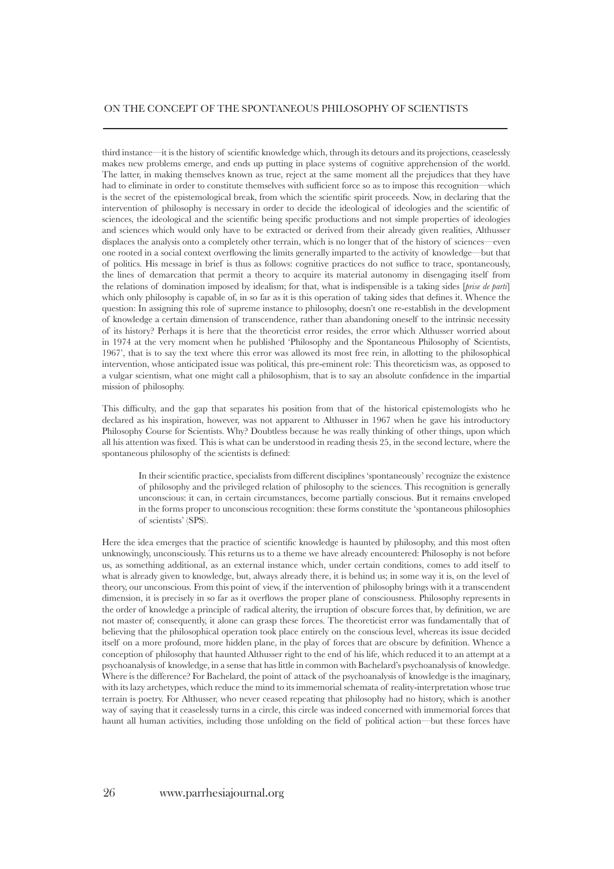## ON THE CONCEPT OF THE SPONTANEOUS PHILOSOPHY OF SCIENTISTS

third instance—it is the history of scientific knowledge which, through its detours and its projections, ceaselessly makes new problems emerge, and ends up putting in place systems of cognitive apprehension of the world. The latter, in making themselves known as true, reject at the same moment all the prejudices that they have had to eliminate in order to constitute themselves with sufficient force so as to impose this recognition—which is the secret of the epistemological break, from which the scientific spirit proceeds. Now, in declaring that the intervention of philosophy is necessary in order to decide the ideological of ideologies and the scientific of sciences, the ideological and the scientific being specific productions and not simple properties of ideologies and sciences which would only have to be extracted or derived from their already given realities, Althusser displaces the analysis onto a completely other terrain, which is no longer that of the history of sciences—even one rooted in a social context overflowing the limits generally imparted to the activity of knowledge—but that of politics. His message in brief is thus as follows: cognitive practices do not suffice to trace, spontaneously, the lines of demarcation that permit a theory to acquire its material autonomy in disengaging itself from the relations of domination imposed by idealism; for that, what is indispensible is a taking sides [*prise de parti*] which only philosophy is capable of, in so far as it is this operation of taking sides that defines it. Whence the question: In assigning this role of supreme instance to philosophy, doesn't one re-establish in the development of knowledge a certain dimension of transcendence, rather than abandoning oneself to the intrinsic necessity of its history? Perhaps it is here that the theoreticist error resides, the error which Althusser worried about in 1974 at the very moment when he published 'Philosophy and the Spontaneous Philosophy of Scientists, 1967', that is to say the text where this error was allowed its most free rein, in allotting to the philosophical intervention, whose anticipated issue was political, this pre-eminent role: This theoreticism was, as opposed to a vulgar scientism, what one might call a philosophism, that is to say an absolute confidence in the impartial mission of philosophy.

This difficulty, and the gap that separates his position from that of the historical epistemologists who he declared as his inspiration, however, was not apparent to Althusser in 1967 when he gave his introductory Philosophy Course for Scientists. Why? Doubtless because he was really thinking of other things, upon which all his attention was fixed. This is what can be understood in reading thesis 25, in the second lecture, where the spontaneous philosophy of the scientists is defined:

In their scientific practice, specialists from different disciplines 'spontaneously' recognize the existence of philosophy and the privileged relation of philosophy to the sciences. This recognition is generally unconscious: it can, in certain circumstances, become partially conscious. But it remains enveloped in the forms proper to unconscious recognition: these forms constitute the 'spontaneous philosophies of scientists' (SPS).

Here the idea emerges that the practice of scientific knowledge is haunted by philosophy, and this most often unknowingly, unconsciously. This returns us to a theme we have already encountered: Philosophy is not before us, as something additional, as an external instance which, under certain conditions, comes to add itself to what is already given to knowledge, but, always already there, it is behind us; in some way it is, on the level of theory, our unconscious. From this point of view, if the intervention of philosophy brings with it a transcendent dimension, it is precisely in so far as it overflows the proper plane of consciousness. Philosophy represents in the order of knowledge a principle of radical alterity, the irruption of obscure forces that, by definition, we are not master of; consequently, it alone can grasp these forces. The theoreticist error was fundamentally that of believing that the philosophical operation took place entirely on the conscious level, whereas its issue decided itself on a more profound, more hidden plane, in the play of forces that are obscure by definition. Whence a conception of philosophy that haunted Althusser right to the end of his life, which reduced it to an attempt at a psychoanalysis of knowledge, in a sense that has little in common with Bachelard's psychoanalysis of knowledge. Where is the difference? For Bachelard, the point of attack of the psychoanalysis of knowledge is the imaginary, with its lazy archetypes, which reduce the mind to its immemorial schemata of reality-interpretation whose true terrain is poetry. For Althusser, who never ceased repeating that philosophy had no history, which is another way of saying that it ceaselessly turns in a circle, this circle was indeed concerned with immemorial forces that haunt all human activities, including those unfolding on the field of political action—but these forces have